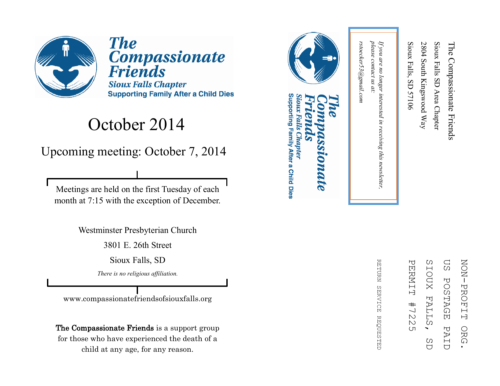

**The Compassionate Friends Sioux Falls Chapter Supporting Family After a Child Dies** 

#### October 2014

Upcoming meeting: October 7, 2014

Meetings are held on the first Tuesday of each month at 7:15 with the exception of December.

Westminster Presbyterian Church

3801 E. 26th Street

Sioux Falls, SD

*There is no religious affiliation.*

www.compassionatefriendsofsiouxfalls.org

The Compassionate Friends is a support group for those who have experienced the death of a child at any age, for any reason.



#### Supporting Family After a Child Dies Sioux Falls Chapter **LOMALE**



RETURN REFURN SERVICE REQUESTED SERVICE **REQUESTED** 

please contact us at: *please contact us at: If you are no longer interested in receiving this newsletter,*  If you are no longer interested in receiving this newsletter,

Sioux Falls, SD 57106

Sioux Falls, SD 57106

2804 South Kingswood Way

2804 South Kingswood Way

Sioux Falls SD Area Chapter

Sioux Falls SD Area Chapter

The Compassionate Friends

The Compassionate Friends

rstoecker53@gmail.com *rstoecker53@gmail.com*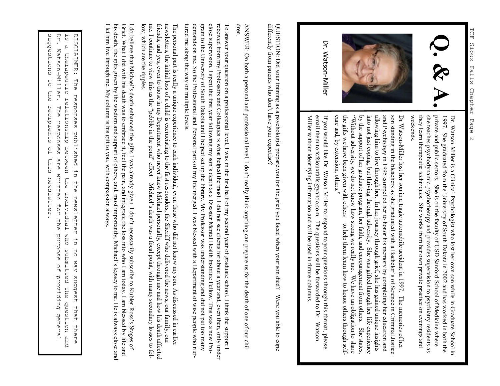

Dr. Watson-Miller

Dr. WatsonDr. Watson-Miller is a Clinical Psychologist who lost her own son while in Graduate School in Miller is a Clinical Psychologist who lost her own son while in Graduate School in weekends. they learn therapeutic techniques. She works from her own private practice on evenings and she teaches psychodynamic psychotherapy and provides supervision to psychiatry residents as private and public sectors. She is on the faculty of USD Sanford School of Medicine where 1997. She graduated from the University of South Dakota in 2002 and has worked in both the private and public sectors. She is on the faculty of USD Sanford School of Medicine where she traches psychodynamic psychotherapy a

and Psychology in 1995 compelled her to honor his memory by completing her education and allowing him to live through her. In her journey through grief, she has gained unique insights into not just coping, but thriving th son standing in the bleachers as she graduated with a Bachelor's of Science by the support of her graduate program, her faith, and encouragement from others. She states, the gifts we have been given with others "Without adversity, we do not know how strong we really are. We have an obligation to share into not just coping, but thriving through adversity. She was gifted through her life experience allowing him to live through her. In her journey through grief, she has gained unique insights son standing in the bleachers as she graduated with a Bachelor's of Science in Criminal Justice Dr Watson in Criminal Justice

Miller without identifying information and will be used in future columns email them to tcfsiouxfalls@yahoo.com. The questions will be forwarded to Dr. Watson-If you would like Dr. Watson-Miller to respond to your questions through this format, please entan utein to teisiouxians@yanoo.com. The questions will be tot watued to DJ, Watson-<br>Miller without identifying information and will be used in future columns. email them to tcfsiouxfalls@yahoo.com. The questions will be forwarded to Dr. WatsonIf you would like Dr. WatsonMiller to respond to your questions through this format, please

differently from parents who don't have your expertise? QUESTION: Did your training as a psychologist prepare you for the grief you faced when your son died? differently from parents who don QUESTION: Did your training as a psychologist prepare you for the grief you faced when your son died? Were you able to cope 't have your expertise? Were you able to cope

ANSWER: On both a personal and professional level, I don't really think anything can prepare us for the death of one of our chil-ANSWER: On both a personal and professional level, I don't really think anything can prepare us for the death of one of our chil-

tured me along the way on multiple levels. demands on me. So the Professional and Personal parts of my life merged. I was blessed with a Department of wise people who nurgram to the University of South Dakota and I helped set up the library. My Professor was understanding and did not put too many close supervision. I spent the first year following my son's death as a Disaster Mental Health Institute Fellow. This was a new Proreceived from my Professors and Colleagues is what helped the most. I did not see clients for about a year and, even then, only under To answer your question on a professional level, I was in the first half of my second year of graduate school. I think the support I demands on me. So the Professional and Personal parts of my life merged. I was blessed with a Department of wise people who nurgram to the University of South Dakota and I helped set up the library. My Professor was understanding and did not put too many close supervision. I spent the first year following my son's death as a Disaster Mental Health Institute Fellow. This was a new Proreceived from my Professors and Colleagues is what helped the most. I did not see clients for about a year and, even then, only under To answer your question on a professional level, I was in the first half of my second year of graduate school. I think the su dren.

low, which are the ripples me. I continue to view this as the "pebble in the pond" effect – Michael's death was a focal point, with many secondary losses to folfivends, and yes, even to those in my Department who never knew Michael personally, except through me and how his death affected newsletters, the initial loss of a child is excruciating to the first responders, the Sheriff who delivered the news, our family, our The personal part is really a unique experience to each individual, even those who did not know my son. As discussed in earlier me. I continue to view this as the "pebble in the pond" effect – friends, and yes, even to those in my Department who never knew Michael personally, except through me and how his death affected newsletters, the initial loss of a child is excruciating to the first responders, the Sheriff who delivered the news, our family, our tured me along the way on multiple levels.<br>The personal part is really a unique experience to each individual, even those who did not know my son. As discussed in earlier Michael's death was a focal point, with many secondary losses to fol-

I do believe that Michael's death enhanced the gifts I was already given. I don't necessarily subscribe to Kubler-Ross's Stages of I let him live through me. My column is his gift to you, with compassion always. his death, the gifts given by the wisdom and support of others, and, most importantly, Michael's legacy to me. He is always close and Grief. What I did with his death was to embrace it, feel the pain, and integrate the loss into who I am today. I am blessed by life and I let him live through me. My column is his gift to you, with compassion always.his death, the gifts given by the wisdom and support of others, and, most importantly, Michael's legacy to me. He is always close and Grief. What I did with his death was to embrace it, feel the pain, and integrate the loss into who I am today. I am blessed by life and Iow, which are the ripples.<br>'I do believe that Michael's death enhanced the gifts I was already given. I don't necessarily subscribe to Kubler Ross's Stages of

sudgestions Dr. Watson-Miller. DISCLAIMER: suggestions to the recipients of this newsletter. DISCLAIMER: The responses published in the newsletter in no way suggest that there<br>is a therapeutic relationship between the individual who submitted the question and<br>Dr. Watson-Miller. The responses are written for the pu Dr. Watson is a therapeutic relationship between the individual who submitted the question and ່ທ  $\omega$ therapeutic Phe  $\overline{C}$ ehe responses relationship between The responses are written for the recipients published in  $\frac{0}{10}$ this the newsletter the newsletter individual who submitted the question purpose of providing general  $\overline{u}$ no way suggest that there and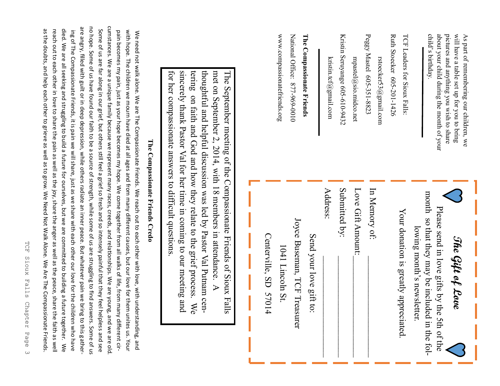| child's birthday. | about your child during the month of your | pictures and anything you wish to share | will have a table set up for you to bring | As part of remembering our children, we |
|-------------------|-------------------------------------------|-----------------------------------------|-------------------------------------------|-----------------------------------------|
|-------------------|-------------------------------------------|-----------------------------------------|-------------------------------------------|-----------------------------------------|

| י<br>2           |                               |
|------------------|-------------------------------|
|                  | I'CH Leaders for Sioux Falls: |
|                  |                               |
|                  |                               |
| <b>VLANT 101</b> |                               |
|                  |                               |
|                  |                               |
|                  |                               |

Ruth Stoecker 605-201-1426 Ruth Stoecker 605 rstoecker53@gmail.com rstoecker53@gmail.com

Peggy Peggy Mastel 605mpastel@sio.midco.net mpastel@sio.midco.net -351-8823

Kristin Seruyange 605kristin.tcf@gmail.com kristin.tcf@gmail.com -610-9432

The Compassionate Friends **The Compassionate Friends** -969-0010

National Office: 877-969-0010 www.compassionatefriends.org www.compassionatefriends.org National Office: 877

## The Gift of Love **The Gift of Love**

month so that they may be included in the folmonth so that they may be included in the fol-Please send in love gifts by the 5th of the Please send in love gifts by the 5th of the lowing month's newsletter. lowing month's newsletter.

Your donation is greatly appreciated. Your donation is greatly appreciated.

In Memory of: \_\_\_\_\_\_\_\_\_\_\_\_\_\_\_\_\_\_\_\_\_\_\_ Love Gift Amount:\_\_\_\_\_\_\_\_\_\_\_\_\_\_\_\_\_\_\_\_\_\_\_ Submitted by: \_\_\_\_\_\_\_\_\_\_\_\_\_\_\_\_\_\_\_\_\_\_\_ Address: \_\_\_\_\_\_\_\_\_\_\_\_\_\_\_\_\_\_\_\_\_\_\_ Send your love gift to:

Joyce Buseman, TCF Treasurer Joyce Buseman, TCF Treasurer

1041 Lincoln St. 1041 Lincoln St.

Centerville, SD 57014 Centerville, SD 57014

sincerely thank Pastor Val for her time in coming to our meeting and tering on faith and God and how they relate to the grief process thoughtful and helpful discussion was led by Pastor Val Putnam cenmet on September 2, 2014, with 18 members in attendance. A The September meeting of the Compassionate Friends of Sioux Falls for her compassionate answers to difficult questions for her compassionate answers to difficult questions. sincerely thank Pastor Val for her time in coming to our meeting and tering on faith and God and how they relate to the grief process. We thoughtful and helpful discussion was led by Pastor Val Putnam cenmet on September 2, 2014, with 18 members in attendance. A The September meeting of the Compassionate Friends of Sioux Falls We

## The Compassionate Friends Credo **The Compassionate Friends Credo**

cumstances. We are a unique family because we represent many races, creeds, and relationships. We are young, and we are old no hope. Some of us have found our faith to be a source of strength, while some of us are struggling to find answers. Some of us cumstances. We are a unique family because we represent many races, creeds, and relationships. We are young, and we are old. are angry, filled with guilt or in deep depression, while others radiate an inner peace. But whatever pain we bring to this gather. are angry, filled with guilt or in deep depression, while others radiate an inner peace. But whatever pain we bring to this gatherno hope. Some of us have found our faith to be a source of strength, while some of us are struggling to find answers. Some of as the doubts, and help each other to grieve as well as to grow. We Need Not Walk Alone. We Are The Compassionate Friends. died. We are all seeking and struggling to build a future for ourselves, but we are committed to building a future together. We Some of us are far along in our grief, but others still feel a grief so fresh and so intensely painful that they feel helpless and see reach out to each other in love to share the pain as well as the joy, share the anger as well as the peace, share the faith as well as the doubts, and help each other to grieve as well as to grow. We Need Not Walk Alone. We Are The Compassionate Friends. reach out to each other in love to share the pain as well as the joy, share the anger as well as the peace, share the faith as well died. We are all seeking and struggling to build a future for ourselves, but we are committed to building a future together. ing of The Compassionate Friends, it is pain we will share, just as we share with each other our love for the children who have Some of us are far along in our grief, but others still feel a grief so fresh and so intensely painful that they feel helpless and see pain becomes my pain, just as your hope becomes my hope. We come together from all walks of life, from many different cirwith hope. The children we mourn have died at all ages and from many different causes, but our love for them unites us. Your with hope. The children we mourn have died at all ages and from many different causes, but on the died at all ages using the move for the move for the move for the many different causes, but on the move for the move for th We need not walk alone. We are The Compassionate Friends. We reach out to each other with love, with understanding, and ing Of The Compassionate Friends, it is pain we will share, just as we share with each other our love for the children who have  $\kappa$ pain becomes my pain, just as your hope becomes my hope. We come together from all walks of life, from many different cir-We need not walk alone. We are The Compassionate Friends. We reach out to each other with love, with understanding, and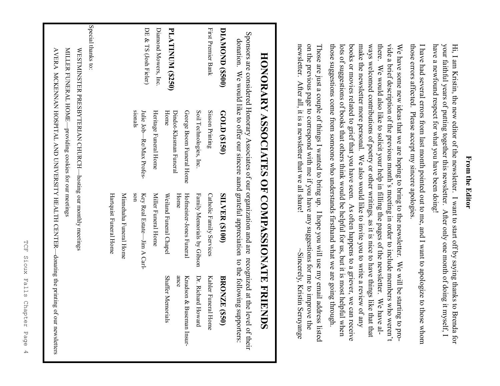#### **From the Editor**From the Editor

have a newfound respect for what you have been doing! your faithful years of putting together this newsletter. After only one month of doing it myself, I Hi, I am Kristin, the new editor of the newsletter. I want to start off by saying thanks to Brenda for have a newfound respect for what you have been doing! your faithful years of putting together this newsletter. After only one month of doing it myself, I Hi, I am Kristin, the new editor of the newsletter. I want to start off by saying thanks to Brenda for

those errors affected. Please accept my sincere apologies I have had several errors from last month pointed out to me, and I want to apologize to those whom those errors affected. Please accept my sincere apologies. I have had several errors from last month pointed out to me, and I want to apologize to those whom

there. those suggestions come from someone who understands firsthand what we are going through lots of suggestions of books that others think would be helpful for us, but it is most helpful when books or movies related to grief that you have seen. As often happens to a griever, we can receive make the newsletter more personal. We also would like to invite you to write a review of any ways welcomed contributions of poetry or other writings, as it is nice to have things like that that vide a brief description of the previous month's meeting in order to include members who weren't We have some new ideas that we are hoping to bring to the newsletter. We will be starting to prothose suggestions come from someone who understands firsthand what we are going through. lots of suggestions of books that others think would be helpful for us, but it is most helpful when books or movies related to grief that you have seen. As often happens to a griever, we can receive make the newsletter more personal. We also would like to invite you to write a review of any ways welcomed contributions of poetry or other writings, as it is nice to have things like that that there. We would also like to solicit your help in filling the pages of the newsletter. We have al vide a brief description of the previous month We have some new ideas that we are hoping to bring to the newsletter. We will be starting to pro-We would also like to solicit your help in filling the pages of the newsletter. We have al-'s meeting in order to include members who weren't

newsletter. After all, it is a newsletter that we all share! on the previous page to correspond with me if you have any suggestions for me to improve the newsletter. After all, it is a newsletter that we all share! on the previous page to correspond with me if you have any suggestions for me to improve the Those are just a couple of things I wanted to bring up. I hope you will use my email address listed Those are just a couple of things I wanted to bring up. I hope you will use my email address listed  $\sim$ Sincerely, Kristin Seruyange  $\sim$ Sincerely, Kristin Seruyange

# HONORARY ASSOCIATES OF COMPASSIONATE FRIENDS **HONORARY ASSOCIATES OF COMPASSIONATE FRIENDS**

Sponsors are considered Honorary Associates of our organization and are recognized at the level of their Sponsors are considered Honorary Associates of our organization and are recognized at the level of their donation. We would like to offer our sincere aand grateful appreciation to the following supporters: יניו צי  $\frac{1}{2}$  $\ddot{t}$ .  $f_{\alpha}$ 

|                         | conation. We would like to orier our sincere aand graterul appreciation to the following supporters: |                                    |                          |
|-------------------------|------------------------------------------------------------------------------------------------------|------------------------------------|--------------------------|
| <b>DIAMOND (\$500)</b>  | GOLD (\$150)                                                                                         | <b>SILVER (\$100)</b>              | <b>BRONZE (\$50)</b>     |
| First Premier Bank      | Sisson Printing                                                                                      | <b>Catholic Family Services</b>    | Kahler Funeral Home      |
|                         | Soil Technologies, Inc.                                                                              | Family Memorials by Gibson         | Dr. Richard Howard       |
|                         | George Boom Funeral Home                                                                             | Hofmeister-Jones Funeral           | Krudson & Buseman Insur- |
| <b>PLATINUM (\$250)</b> | Dindot-Klusman Funeral                                                                               | Home                               | ance                     |
|                         | Home                                                                                                 | Weiland Funeral Chapel             | <b>Shaffer Memorials</b> |
| Diamond Mowers, Inc.    | Heritage Funeral Home                                                                                | Miller Funeral Home                |                          |
| DE & TS (Josh Fieler)   | sionals<br>Julie Job—Re/Nax Profes-                                                                  | Key Real Estate—Jim A Carl-<br>uos |                          |
|                         |                                                                                                      | Minnehaha Funeral Home             |                          |
|                         |                                                                                                      | Hartquist Funeral Home             |                          |
| Special thanks to:      |                                                                                                      |                                    |                          |
|                         | WESTMINSTER PRESBYTERIAN CHURCH-hosting our monthly meetings                                         |                                    |                          |
|                         | MILLER FUNERAL HOME-providing cookies for our meetings                                               |                                    |                          |
|                         | AVERA MCKENNAN HOSPITAL AND UNIVERSITY HEALTH CENTER—donating the printing of our newsletters        |                                    |                          |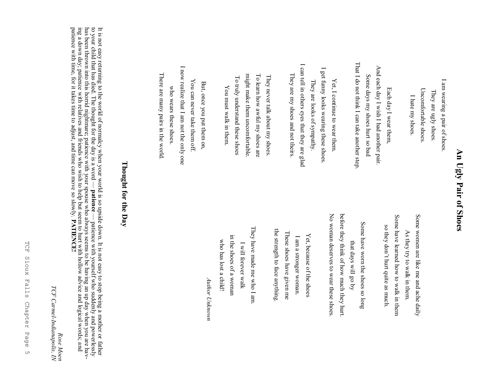### An Ugly Pair of Shoes **An Ugly Pair of Shoes**

I am wearing a pair of shoes. I am wearing a pair of shoes. Uncomfortable shoes Uncomfortable shoes. They are ugly shoes. They are ugly shoes. I hate my shoes I hate my shoes.

That I do not think I can take another step That I do not think I can take another step. And each day I wish I had another pair. And each day I wish I had another pair. Some days my shoes hurt so bad Some days my shoes hurt so bad Each day I wear them, Each day I wear them,

I can tell in others eyes that they are glad I can tell in others eyes that they are glad  $\overline{\phantom{0}}$ I get funny looks wearing these shoes. get funny looks wearing these shoes. They are my shoes and not theirs. They are my shoes and not theirs. They are looks of sympathy Yet, I continue to wear them Yet, I continue to wear them. They are looks of sympathy.

To learn how awful my shoes are might make them uncomfortable might make them uncomfortable. To learn how awful my shoes are They never talk about my shoes. To truly understand these shoes They never talk about my shoes. To truly understand these shoes You must walk in them You must walk in them.

I now realize that I am not the only one I now realize that I am not the only one There are many pairs in the world There are many pairs in the world. You can never take them off. You can never take them off. But, once you put them on, But, once you put them on, who wears these shoes who wears these shoes.

> Some have learned how to walk in them Some women are like me and ache daily Some have learned how to walk in them Some women are like me and ache daily so they don't hurt quite as much. so they don't hurt quite as much. As they try to walk in them. As they try to walk in them.

before they think of how much they hurt before they think of how much they hurt. No woman deserves to wear these shoes No woman deserves to wear these shoes. Some have worn the shoes so long Some have worn the shoes so long that days will go by that days will go by

the strength to face anything the strength to face anything. These shoes have given me These shoes have given me Yet, because of the shoes Yet, because of the shoes I am a stronger woman. I am a stronger woman.

They have made me who I am They have made me who I am. in the shoes of a woman in the shoes of a woman who has lost a child! who has lost a child! I will forever walk [ will forever walk

*Author Unknown* Author Unknown

#### Thought for the Day **Thought for the Day**

It is not easy returning to the world of normalcy when your world is so upside down. It is not easy to stop being a mother or father to your child that has died. The thought for the day is a word **patience**  patience with yourself who suddenly and powerlessly has been thrown into this horrid nightmare; patience with your spouse who always seems to be having an up day when you are having a down day; patience with relatives and friends who wish to help but seem to hurt with hollow advice and logical words; and patience with time, for it takes time to adjust, and time can move so slowly. **PATIENCE!**

**TCF** TCF Sioux Falls Chapter Page 5 Sioux Falls Chapter Page  $\cup$ 

*Rose Moen*

*TCF Carmel*

*FCF Carmel-Indianapolis, IN*<br>*TCF Carmel-Indianapolis, IN* 

*Indianapolis, IN*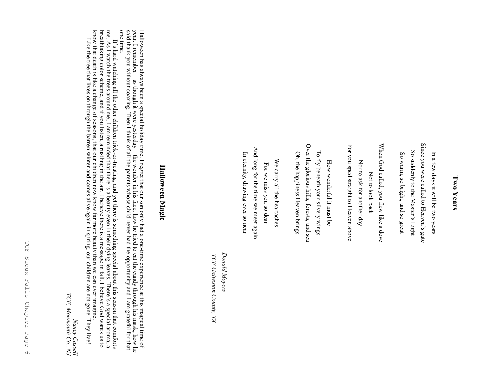#### Two Years **Two Years**

Since you were called to Heaven's gate Since you were called to Heaven's gate So suddenly to the Master's Light So suddenly to the Master's Light In a few days it will be two years So warm, so bright, and so great In a few days it will be two years So warm, so bright, and so great

For you sped straight to Heaven above When God called, you flew like a dove For you sped straight to Heaven above When God called, you flew like a dove Nor to ask for another day Nor to ask for another day Not to look back Not to look back

Over the glorious hills, forests, and sea Over the glorious hills, forests, and sea To fly beneath your silvery wings Oh, the happiness Heaven brings To fly beneath your silvery wings Oh, the happiness Heaven brings How wonderful it must be How wonderful it must be

And long for the time we meet again And long for the time we meet again In eternity, drawing ever so near In eternity, drawing ever so near We carry all the heartaches We carry all the heartaches For we miss you so dear For we miss you so dear

Donald Moyers *Donald Moyers*TCF Galveston County, TX *TCF Galveston County, TX*

#### Halloween Magic **Halloween Magic**

Halloween has always been a special holiday time. I regret that our son only had a oneHalloween has always been a special holiday time. I regret that our son only had a one-time experience at this magical time of year. I remember—as though it were yesterday—the wonder in his face, how he tried to eat the c time experience at this magical time of year. I remember—as though it were yesterday—the wonder in his face, how he tried to eat the candy through his mask, how he and thank you without coaxing. Then I think of all the parents whose child never had the opportunity and I am grateful for that one time.

me. As I watch the trees around me, I am reminded that there is a beauty even in their dying leaves. There's a special aroma, a one time. It's hard watching all the other children trick $\frac{1}{2}$ treating, and yet there is something special about this season that comforts

breathtaking color scheme, and if you listen, a rustling in the air. I believe there is a message in fall. I believe God wants us to

know that death is like a change of seasons, that our children now know far more beauty than we can ever imagine.

Like the tree that lives on through the barren winter and comes alive again in spring, our children are not gone. They live!

Nancy Cassell *Nancy Cassell*

*TCF, Monmouth Co., NJ*

TCF, Monnouth Co., NJ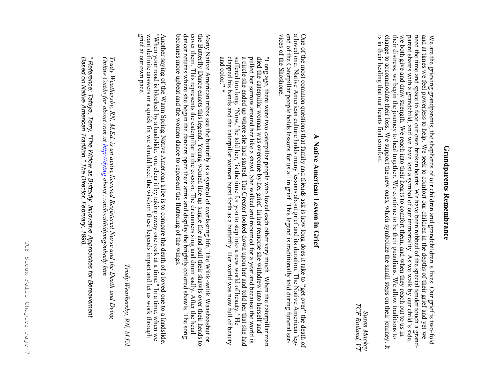## **Grandparents Remembrance Grandparents Remembrance**

is in their healing that our hearts find comfort. their distress, we begin the journey to heal together. We continue to be their guardians. We allow traditions to change to accommodate their loss. We support the new ones, which symbolize the small steps on their journey. need the time and space to face our own broken hearts. We have been robbed of the special tender touch a grand-<br>parent shares with a grandchild, and we have lost a symbol of our immortality. As we walk by our child's side, parent shares with a grandchild, and we have lost a symbol of our immortality. As we walk by our child is in their healing that our hearts find comfort. change to accommodate their loss. We support the new ones, which symbolize the small steps on their journey. It their distress, we begin the journey to heal together. We continue to be their guardians. We allow traditions to we both give and draw strength. We reach into their hearts to comfort them, and when they reach out to us in need the time and space to face our own broken hearts. We have been robbed of the special tender touch a grandand at times we feel powerless to help. We seek to comfort our children in the depths of their grief and yet we We are the grieving grandparents, the shepherds of our children and grandchildren's lives. Our grief is two-fold

TCF Rutland, VT *TCF Rutland, VT* Susan Mackey *Susan Mackey*

## A Native American Lesson in Grief **A Native American Lesson in Grief**

One of the most common questions that family and friends ask is how long does it take to "get over" the death of a loved one. Native American culture holds many lessons about grief and its duration. The Native American leg vices of the Shoshone vices of the Shoshone. end of the Caterpillar people holds lessons for us all in grief. This legend is traditionally told during funeral sera loved one. Native American culture holds many lessons about grief and its duration. The Native American leg-One of the most common questions that family and friends ask is how long does it take to "get over" the death of  $\alpha$ 

suffered too long. 'Now,' he told her, 'is the time for you to step into a new world of beauty.' He dapped his hands and the caterpillar woman burst forth as a butterfly. Her world of beauty.' He clapped his hands and the a circle she ended up where she had started. The Creator looked down upon her and told her that she had pulled her sorrow around her like a shawl. She walked and mourned for a year and because the world is died the caterpillar woman was overcome by her grief. In her remorse she withdrew into herself and "Long ago, there were two caterpillar people who loved each other very much. When the caterpillar man and color. clapped his hands and the caterpillar woman burst forth as a butterfly. Her world was now full of beauty "Long ago, there were two caterpillar people who loved each other very much. When the caterpillar mandied the caterpillar woman was overcome by her grief. In her remorse she withdrew into herself and pulled her sorrow aro

becomes more upbeat and the women dance to represent the fluttering of the wings dancer returns where she begun the dancers open their arms and display the brightly colored shawls. The song Many Native American tribes see the butterfly as a symbol of everlasting life. The Wilk-wilk Waashaashut or the Butterfly Dance enacts this legend. Young women line up single file and pull their shawls over their heads to becomes more upbeat and the women dance to represent the fluttering of the wings. the Butterfly Dance enacts this legend. Young women line up single file and pull their shawls over their heads to Many Native American tribes see the butterfly as a symbol of everlasting life. The Wiliki dancer returns where she begun the dancers open their arms and display the brightly colored shawls. The song cover them. This represents the caterpillar in the cocoon. The drummers sing and drum sadly. After the head wilik Waashaashut or

want definite answers or a quick fix we should heed the wisdom these legends impart and let us work through Another saying of the Warm Spring Native American tribe is to compare the death of a loved one to a landslide "When your road is blocked by a landslide, you clear it by taking away one rock at a time." In a time, when we grief at our own pace. grief at our own pace. want definite answers or a quick fix we should heed the wisdom these legends impart and let us work through Another saying of the Warm Spring Native American tribe is to compare the death of a loved one to a landslide. "When your road is blocked by a landslide, you clear it by taking away one rock at a time." In a time, when we

Trudy Weathersby, RN, M.Ed. *Trudy Weathersby, RN, M.Ed.*

Online Guide for about.com at http://dying.about.com/health/dying/mbody.htm Trudy Weathersby, RN, M.Ed. is an active licensed Registered Nurse and the Death and Dying *Online Guide for about.com at Trudy Weathersby, RN, M.Ed. is an active licensed Registered Nurse and the Death and Dying http://dying.about.com/health/dying/mbody.htm*

\* Reference: Tafoya, Terry, "The Widow as Butterfly, Innovative Approaches for Bereavement<br>Based on Native American Tradition," The Director, February, 1998. *Based on Native American Tradition," The Director, February, 1998. \* Reference: Tafoya, Terry, "The Widow as Butterfly, Innovative Approaches for Bereavement*